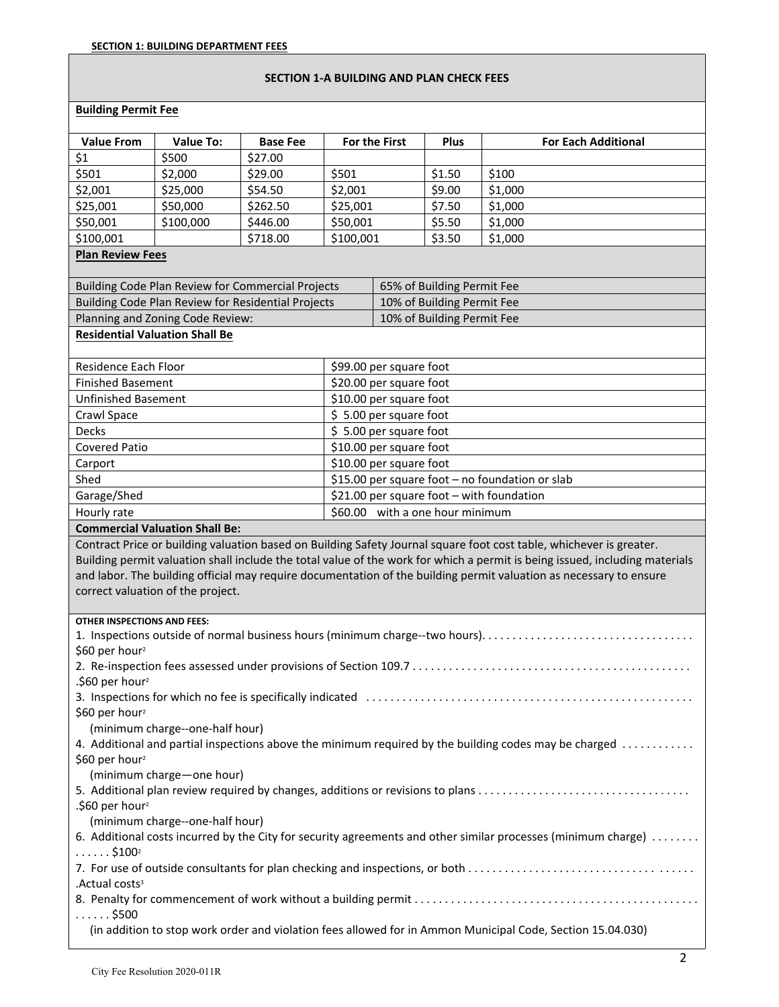## **SECTION 1-A BUILDING AND PLAN CHECK FEES**

## **Building Permit Fee**

| <b>Value From</b>                                  | <b>Value To:</b>                      | <b>Base Fee</b>            |           | <b>For the First</b>       | Plus                            | <b>For Each Additional</b>                                                                                                                                                                                                                        |
|----------------------------------------------------|---------------------------------------|----------------------------|-----------|----------------------------|---------------------------------|---------------------------------------------------------------------------------------------------------------------------------------------------------------------------------------------------------------------------------------------------|
| \$1                                                | \$500                                 | \$27.00                    |           |                            |                                 |                                                                                                                                                                                                                                                   |
| \$501                                              | \$2,000                               | \$29.00                    | \$501     |                            | \$1.50                          | \$100                                                                                                                                                                                                                                             |
| \$2,001                                            | \$25,000                              | \$54.50                    | \$2,001   |                            | \$9.00                          | \$1,000                                                                                                                                                                                                                                           |
| \$25,001                                           | \$50,000                              | \$262.50                   | \$25,001  |                            | \$7.50                          | \$1,000                                                                                                                                                                                                                                           |
| \$50,001                                           | \$100,000                             | \$446.00                   | \$50,001  |                            | \$5.50                          | \$1,000                                                                                                                                                                                                                                           |
| \$100,001                                          |                                       | \$718.00                   | \$100,001 |                            | \$3.50                          | \$1,000                                                                                                                                                                                                                                           |
| <b>Plan Review Fees</b>                            |                                       |                            |           |                            |                                 |                                                                                                                                                                                                                                                   |
|                                                    |                                       |                            |           |                            |                                 |                                                                                                                                                                                                                                                   |
| Building Code Plan Review for Commercial Projects  |                                       | 65% of Building Permit Fee |           |                            |                                 |                                                                                                                                                                                                                                                   |
| Building Code Plan Review for Residential Projects |                                       | 10% of Building Permit Fee |           |                            |                                 |                                                                                                                                                                                                                                                   |
|                                                    | Planning and Zoning Code Review:      |                            |           | 10% of Building Permit Fee |                                 |                                                                                                                                                                                                                                                   |
|                                                    | <b>Residential Valuation Shall Be</b> |                            |           |                            |                                 |                                                                                                                                                                                                                                                   |
|                                                    |                                       |                            |           |                            |                                 |                                                                                                                                                                                                                                                   |
| Residence Each Floor                               |                                       |                            |           | \$99.00 per square foot    |                                 |                                                                                                                                                                                                                                                   |
| <b>Finished Basement</b>                           |                                       |                            |           | \$20.00 per square foot    |                                 |                                                                                                                                                                                                                                                   |
| <b>Unfinished Basement</b>                         |                                       |                            |           | \$10.00 per square foot    |                                 |                                                                                                                                                                                                                                                   |
| Crawl Space                                        |                                       |                            |           | \$5.00 per square foot     |                                 |                                                                                                                                                                                                                                                   |
| Decks                                              |                                       |                            |           | \$5.00 per square foot     |                                 |                                                                                                                                                                                                                                                   |
| <b>Covered Patio</b>                               |                                       |                            |           | \$10.00 per square foot    |                                 |                                                                                                                                                                                                                                                   |
| Carport                                            |                                       |                            |           | \$10.00 per square foot    |                                 |                                                                                                                                                                                                                                                   |
| Shed                                               |                                       |                            |           |                            |                                 | \$15.00 per square foot - no foundation or slab                                                                                                                                                                                                   |
| Garage/Shed                                        |                                       |                            |           |                            |                                 | \$21.00 per square foot - with foundation                                                                                                                                                                                                         |
| Hourly rate                                        |                                       |                            |           |                            | \$60.00 with a one hour minimum |                                                                                                                                                                                                                                                   |
|                                                    | <b>Commercial Valuation Shall Be:</b> |                            |           |                            |                                 | Contract Price or building valuation based on Building Safety Journal square foot cost table, whichever is greater.                                                                                                                               |
|                                                    | correct valuation of the project.     |                            |           |                            |                                 | Building permit valuation shall include the total value of the work for which a permit is being issued, including materials<br>and labor. The building official may require documentation of the building permit valuation as necessary to ensure |
| OTHER INSPECTIONS AND FEES:                        |                                       |                            |           |                            |                                 |                                                                                                                                                                                                                                                   |
|                                                    |                                       |                            |           |                            |                                 |                                                                                                                                                                                                                                                   |
| \$60 per hour <sup>2</sup>                         |                                       |                            |           |                            |                                 |                                                                                                                                                                                                                                                   |
|                                                    |                                       |                            |           |                            |                                 |                                                                                                                                                                                                                                                   |
| .\$60 per hour <sup>2</sup>                        |                                       |                            |           |                            |                                 |                                                                                                                                                                                                                                                   |
| \$60 per hour <sup>2</sup>                         |                                       |                            |           |                            |                                 |                                                                                                                                                                                                                                                   |
|                                                    | (minimum charge--one-half hour)       |                            |           |                            |                                 |                                                                                                                                                                                                                                                   |
|                                                    |                                       |                            |           |                            |                                 | 4. Additional and partial inspections above the minimum required by the building codes may be charged                                                                                                                                             |
| \$60 per hour <sup>2</sup>                         |                                       |                            |           |                            |                                 |                                                                                                                                                                                                                                                   |
|                                                    | (minimum charge-one hour)             |                            |           |                            |                                 |                                                                                                                                                                                                                                                   |
|                                                    |                                       |                            |           |                            |                                 | 5. Additional plan review required by changes, additions or revisions to plans                                                                                                                                                                    |
| .\$60 per hour <sup>2</sup>                        |                                       |                            |           |                            |                                 |                                                                                                                                                                                                                                                   |
|                                                    | (minimum charge--one-half hour)       |                            |           |                            |                                 |                                                                                                                                                                                                                                                   |
|                                                    |                                       |                            |           |                            |                                 | 6. Additional costs incurred by the City for security agreements and other similar processes (minimum charge)                                                                                                                                     |
| $\ldots \ldots$ \$100 <sup>2</sup>                 |                                       |                            |           |                            |                                 |                                                                                                                                                                                                                                                   |
|                                                    |                                       |                            |           |                            |                                 | 7. For use of outside consultants for plan checking and inspections, or both                                                                                                                                                                      |
| .Actual costs <sup>3</sup>                         |                                       |                            |           |                            |                                 |                                                                                                                                                                                                                                                   |
|                                                    |                                       |                            |           |                            |                                 |                                                                                                                                                                                                                                                   |
| $\ldots \ldots$ \$500                              |                                       |                            |           |                            |                                 |                                                                                                                                                                                                                                                   |
|                                                    |                                       |                            |           |                            |                                 | (in addition to stop work order and violation fees allowed for in Ammon Municipal Code, Section 15.04.030)                                                                                                                                        |